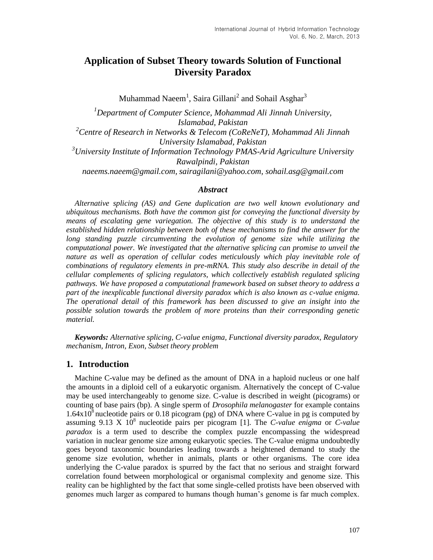# **Application of Subset Theory towards Solution of Functional Diversity Paradox**

Muhammad Naeem $^1$ , Saira Gillani<sup>2</sup> and Sohail Asghar $^3$ 

*<sup>1</sup>Department of Computer Science, Mohammad Ali Jinnah University, Islamabad, Pakistan <sup>2</sup>Centre of Research in Networks & Telecom (CoReNeT), Mohammad Ali Jinnah University Islamabad, Pakistan <sup>3</sup>University Institute of Information Technology PMAS-Arid Agriculture University Rawalpindi, Pakistan naeems.naeem@gmail.com, sairagilani@yahoo.com, sohail.asg@gmail.com*

#### *Abstract*

*Alternative splicing (AS) and Gene duplication are two well known evolutionary and ubiquitous mechanisms. Both have the common gist for conveying the functional diversity by means of escalating gene variegation. The objective of this study is to understand the established hidden relationship between both of these mechanisms to find the answer for the long standing puzzle circumventing the evolution of genome size while utilizing the computational power. We investigated that the alternative splicing can promise to unveil the nature as well as operation of cellular codes meticulously which play inevitable role of combinations of regulatory elements in pre-mRNA. This study also describe in detail of the cellular complements of splicing regulators, which collectively establish regulated splicing pathways. We have proposed a computational framework based on subset theory to address a part of the inexplicable functional diversity paradox which is also known as c-value enigma. The operational detail of this framework has been discussed to give an insight into the possible solution towards the problem of more proteins than their corresponding genetic material.*

*Keywords: Alternative splicing, C-value enigma, Functional diversity paradox, Regulatory mechanism, Intron, Exon, Subset theory problem*

### **1. Introduction**

Machine C-value may be defined as the amount of DNA in a haploid nucleus or one half the amounts in a diploid cell of a eukaryotic organism. Alternatively the concept of C-value may be used interchangeably to genome size. C-value is described in weight (picograms) or counting of base pairs (bp). A single sperm of *Drosophila melanogaster* for example contains  $1.64 \times 10^8$  nucleotide pairs or 0.18 picogram (pg) of DNA where C-value in pg is computed by assuming  $9.13 \times 10^8$  nucleotide pairs per picogram [1]. The *C-value enigma* or *C-value paradox* is a term used to describe the complex puzzle encompassing the widespread variation in nuclear genome size among eukaryotic species. The C-value enigma undoubtedly goes beyond taxonomic boundaries leading towards a heightened demand to study the genome size evolution, whether in animals, plants or other organisms. The core idea underlying the C-value paradox is spurred by the fact that no serious and straight forward correlation found between morphological or organismal complexity and genome size. This reality can be highlighted by the fact that some single-celled protists have been observed with genomes much larger as compared to humans though human's genome is far much complex.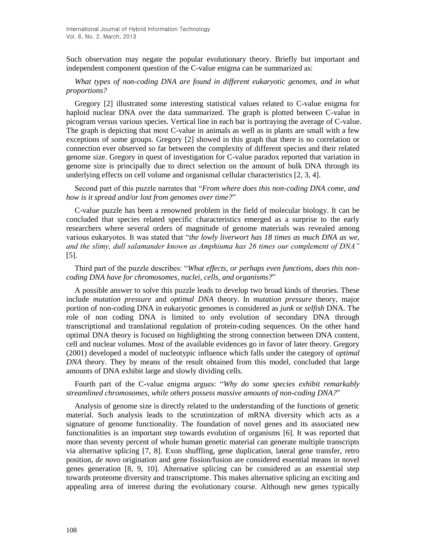Such observation may negate the popular evolutionary theory. Briefly but important and independent component question of the C-value enigma can be summarized as:

### *What types of non-coding DNA are found in different eukaryotic genomes, and in what proportions?*

Gregory [2] illustrated some interesting statistical values related to C-value enigma for haploid nuclear DNA over the data summarized. The graph is plotted between C-value in picogram versus various species. Vertical line in each bar is portraying the average of C-value. The graph is depicting that most C-value in animals as well as in plants are small with a few exceptions of some groups. Gregory [2] showed in this graph that there is no correlation or connection ever observed so far between the complexity of different species and their related genome size. Gregory in quest of investigation for C-value paradox reported that variation in genome size is principally due to direct selection on the amount of bulk DNA through its underlying effects on cell volume and organismal cellular characteristics [2, 3, 4].

Second part of this puzzle narrates that "*From where does this non-coding DNA come, and how is it spread and/or lost from genomes over time?*"

C-value puzzle has been a renowned problem in the field of molecular biology. It can be concluded that species related specific characteristics emerged as a surprise to the early researchers where several orders of magnitude of genome materials was revealed among various eukaryotes. It was stated that "*the lowly liverwort has 18 times as much DNA as we, and the slimy, dull salamander known as Amphiuma has 26 times our complement of DNA"* [5].

### Third part of the puzzle describes: "*What effects, or perhaps even functions, does this noncoding DNA have for chromosomes, nuclei, cells, and organisms?*"

A possible answer to solve this puzzle leads to develop two broad kinds of theories. These include *mutation pressure* and *optimal DNA* theory. In *mutation pressure* theory, major portion of non-coding DNA in eukaryotic genomes is considered as *junk* or *selfish* DNA. The role of non coding DNA is limited to only evolution of secondary DNA through transcriptional and translational regulation of protein-coding sequences. On the other hand optimal DNA theory is focused on highlighting the strong connection between DNA content, cell and nuclear volumes. Most of the available evidences go in favor of later theory. Gregory (2001) developed a model of nucleotypic influence which falls under the category of *optimal DNA* theory. They by means of the result obtained from this model, concluded that large amounts of DNA exhibit large and slowly dividing cells.

### Fourth part of the C-value enigma argues: "*Why do some species exhibit remarkably streamlined chromosomes, while others possess massive amounts of non-coding DNA?*"

Analysis of genome size is directly related to the understanding of the functions of genetic material. Such analysis leads to the scrutinization of mRNA diversity which acts as a signature of genome functionality. The foundation of novel genes and its associated new functionalities is an important step towards evolution of organisms [6]. It was reported that more than seventy percent of whole human genetic material can generate multiple transcripts via alternative splicing [7, 8]. Exon shuffling, gene duplication, lateral gene transfer, retro position, *de novo* origination and gene fission/fusion are considered essential means in novel genes generation [8, 9, 10]. Alternative splicing can be considered as an essential step towards proteome diversity and transcriptome. This makes alternative splicing an exciting and appealing area of interest during the evolutionary course. Although new genes typically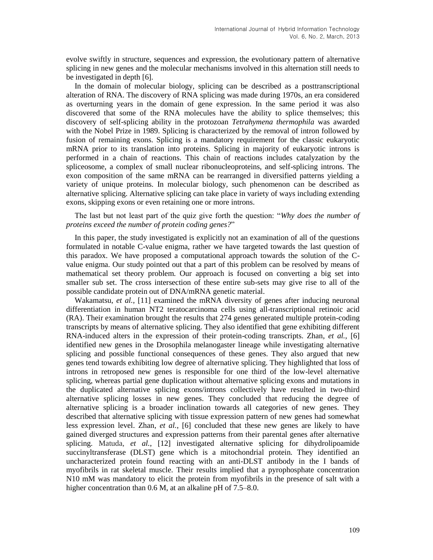evolve swiftly in structure, sequences and expression, the evolutionary pattern of alternative splicing in new genes and the molecular mechanisms involved in this alternation still needs to be investigated in depth [6].

In the domain of molecular biology, splicing can be described as a posttranscriptional alteration of RNA. The discovery of RNA splicing was made during 1970s, an era considered as overturning years in the domain of gene expression. In the same period it was also discovered that some of the RNA molecules have the ability to splice themselves; this discovery of self-splicing ability in the protozoan *Tetrahymena thermophila* was awarded with the Nobel Prize in 1989. Splicing is characterized by the removal of intron followed by fusion of remaining exons. Splicing is a mandatory requirement for the classic eukaryotic mRNA prior to its translation into proteins. Splicing in majority of eukaryotic introns is performed in a chain of reactions. This chain of reactions includes catalyzation by the spliceosome, a complex of small nuclear ribonucleoproteins, and self-splicing introns. The exon composition of the same mRNA can be rearranged in diversified patterns yielding a variety of unique proteins. In molecular biology, such phenomenon can be described as alternative splicing. Alternative splicing can take place in variety of ways including extending exons, skipping exons or even retaining one or more introns.

The last but not least part of the quiz give forth the question: "*Why does the number of proteins exceed the number of protein coding genes?*"

In this paper, the study investigated is explicitly not an examination of all of the questions formulated in notable C-value enigma, rather we have targeted towards the last question of this paradox. We have proposed a computational approach towards the solution of the Cvalue enigma. Our study pointed out that a part of this problem can be resolved by means of mathematical set theory problem. Our approach is focused on converting a big set into smaller sub set. The cross intersection of these entire sub-sets may give rise to all of the possible candidate protein out of DNA/mRNA genetic material.

Wakamatsu, *et al.*, [11] examined the mRNA diversity of genes after inducing neuronal differentiation in human NT2 teratocarcinoma cells using all-transcriptional retinoic acid (RA). Their examination brought the results that 274 genes generated multiple protein-coding transcripts by means of alternative splicing. They also identified that gene exhibiting different RNA-induced alters in the expression of their protein-coding transcripts. Zhan, *et al.*, [6] identified new genes in the Drosophila melanogaster lineage while investigating alternative splicing and possible functional consequences of these genes. They also argued that new genes tend towards exhibiting low degree of alternative splicing. They highlighted that loss of introns in retroposed new genes is responsible for one third of the low-level alternative splicing, whereas partial gene duplication without alternative splicing exons and mutations in the duplicated alternative splicing exons/introns collectively have resulted in two-third alternative splicing losses in new genes. They concluded that reducing the degree of alternative splicing is a broader inclination towards all categories of new genes. They described that alternative splicing with tissue expression pattern of new genes had somewhat less expression level. Zhan, *et al.*, [6] concluded that these new genes are likely to have gained diverged structures and expression patterns from their parental genes after alternative splicing. Matuda, *et al.*, [12] investigated alternative splicing for dihydrolipoamide succinyltransferase (DLST) gene which is a mitochondrial protein. They identified an uncharacterized protein found reacting with an anti-DLST antibody in the I bands of myofibrils in rat skeletal muscle. Their results implied that a pyrophosphate concentration N10 mM was mandatory to elicit the protein from myofibrils in the presence of salt with a higher concentration than 0.6 M, at an alkaline pH of 7.5–8.0.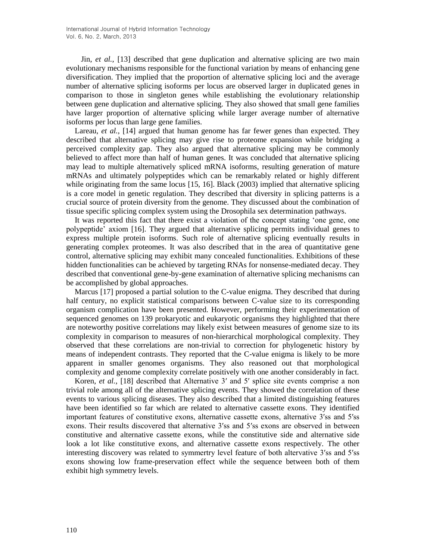Jin, *et al.*, [13] described that gene duplication and alternative splicing are two main evolutionary mechanisms responsible for the functional variation by means of enhancing gene diversification. They implied that the proportion of alternative splicing loci and the average number of alternative splicing isoforms per locus are observed larger in duplicated genes in comparison to those in singleton genes while establishing the evolutionary relationship between gene duplication and alternative splicing. They also showed that small gene families have larger proportion of alternative splicing while larger average number of alternative isoforms per locus than large gene families.

Lareau, *et al.*, [14] argued that human genome has far fewer genes than expected. They described that alternative splicing may give rise to proteome expansion while bridging a perceived complexity gap. They also argued that alternative splicing may be commonly believed to affect more than half of human genes. It was concluded that alternative splicing may lead to multiple alternatively spliced mRNA isoforms, resulting generation of mature mRNAs and ultimately polypeptides which can be remarkably related or highly different while originating from the same locus [15, 16]. Black (2003) implied that alternative splicing is a core model in genetic regulation. They described that diversity in splicing patterns is a crucial source of protein diversity from the genome. They discussed about the combination of tissue specific splicing complex system using the Drosophila sex determination pathways.

It was reported this fact that there exist a violation of the concept stating 'one gene, one polypeptide' axiom [16]. They argued that alternative splicing permits individual genes to express multiple protein isoforms. Such role of alternative splicing eventually results in generating complex proteomes. It was also described that in the area of quantitative gene control, alternative splicing may exhibit many concealed functionalities. Exhibitions of these hidden functionalities can be achieved by targeting RNAs for nonsense-mediated decay. They described that conventional gene-by-gene examination of alternative splicing mechanisms can be accomplished by global approaches.

Marcus [17] proposed a partial solution to the C-value enigma. They described that during half century, no explicit statistical comparisons between C-value size to its corresponding organism complication have been presented. However, performing their experimentation of sequenced genomes on 139 prokaryotic and eukaryotic organisms they highlighted that there are noteworthy positive correlations may likely exist between measures of genome size to its complexity in comparison to measures of non-hierarchical morphological complexity. They observed that these correlations are non-trivial to correction for phylogenetic history by means of independent contrasts. They reported that the C-value enigma is likely to be more apparent in smaller genomes organisms. They also reasoned out that morphological complexity and genome complexity correlate positively with one another considerably in fact.

Koren, *et al.*, [18] described that Alternative 3' and 5' splice site events comprise a non trivial role among all of the alternative splicing events. They showed the correlation of these events to various splicing diseases. They also described that a limited distinguishing features have been identified so far which are related to alternative cassette exons. They identified important features of constitutive exons, alternative cassette exons, alternative 3′ss and 5′ss exons. Their results discovered that alternative 3′ss and 5′ss exons are observed in between constitutive and alternative cassette exons, while the constitutive side and alternative side look a lot like constitutive exons, and alternative cassette exons respectively. The other interesting discovery was related to symmertry level feature of both altervative 3′ss and 5′ss exons showing low frame-preservation effect while the sequence between both of them exhibit high symmetry levels.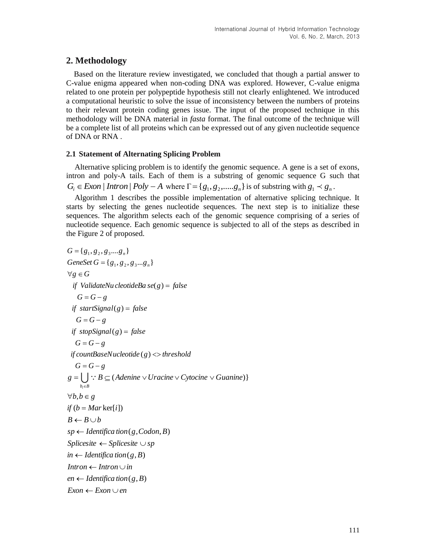## **2. Methodology**

Based on the literature review investigated, we concluded that though a partial answer to C-value enigma appeared when non-coding DNA was explored. However, C-value enigma related to one protein per polypeptide hypothesis still not clearly enlightened. We introduced a computational heuristic to solve the issue of inconsistency between the numbers of proteins to their relevant protein coding genes issue. The input of the proposed technique in this methodology will be DNA material in *fasta* format. The final outcome of the technique will be a complete list of all proteins which can be expressed out of any given nucleotide sequence of DNA or RNA .

### **2.1 Statement of Alternating Splicing Problem**

Alternative splicing problem is to identify the genomic sequence. A gene is a set of exons, intron and poly-A tails. Each of them is a substring of genomic sequence G such that  $G_i \in Exon \mid Intron \mid Poly-A$  where  $\Gamma = \{g_1, g_2, \ldots, g_n\}$  is of substring with  $g_1 \prec g_n$ .

Algorithm 1 describes the possible implementation of alternative splicing technique. It starts by selecting the genes nucleotide sequences. The next step is to initialize these sequences. The algorithm selects each of the genomic sequence comprising of a series of nucleotide sequence. Each genomic sequence is subjected to all of the steps as described in the Figure 2 of proposed.

```
G = G - gif countBaseNucleotide(g) <> threshold
   G = G - gif stopSignal(g) = falseG = G - gif startSignal(g) = falseG = G - gif ValidateNu cleotideBa se(g) = false\forall g \in GGeneSet G = \{g_1, g_2, g_3...g_n\}G = \{g_1, g_2, g_3, \ldots, g_n\}Exon \leftarrow Exon \cup enen \leftarrow Identifica tion (g, B)Intron \leftarrow Intron \cup in
in \leftarrow Identifica tion (g, B)Splicesite \leftarrow Splicesite \cup spsp \leftarrow Identifica tion (g, Codon, B)B \leftarrow B \cup bif (b = Mar \, \text{ker}[i])\forall b, b \in gg = \bigcup : B \subseteq (Adenine \vee Uracine \vee Cytocine \vee Guanine))b_i \in B\in
```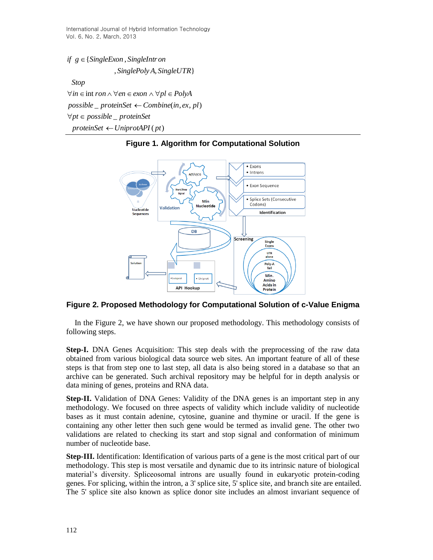International Journal of Hybrid Information Technology Vol. 6, No. 2, March, 2013

 $proteinSet \leftarrow UniprotAPI$  (pt)  $\forall pt \in possible$  *proteinSet*  $possible$  *proteinSet*  $\leftarrow$  *Combine*(*in*, *ex*, *pl*)  $\forall in \in \text{int} \text{ron} \land \forall en \in \text{exon} \land \forall pl \in \text{PolyA}$ , , } *SinglePoly A SingleUTR* { , *if g SingleExon SingleIntron Stop*



**Figure 1. Algorithm for Computational Solution**

**Figure 2. Proposed Methodology for Computational Solution of c-Value Enigma**

In the Figure 2, we have shown our proposed methodology. This methodology consists of following steps.

**Step-I.** DNA Genes Acquisition: This step deals with the preprocessing of the raw data obtained from various biological data source web sites. An important feature of all of these steps is that from step one to last step, all data is also being stored in a database so that an archive can be generated. Such archival repository may be helpful for in depth analysis or data mining of genes, proteins and RNA data.

**Step-II.** Validation of DNA Genes: Validity of the DNA genes is an important step in any methodology. We focused on three aspects of validity which include validity of nucleotide bases as it must contain adenine, cytosine, guanine and thymine or uracil. If the gene is containing any other letter then such gene would be termed as invalid gene. The other two validations are related to checking its start and stop signal and conformation of minimum number of nucleotide base.

**Step-III.** Identification: Identification of various parts of a gene is the most critical part of our methodology. This step is most versatile and dynamic due to its intrinsic nature of biological material's diversity. Spliceosomal introns are usually found in eukaryotic protein-coding genes. For splicing, within the intron, a 3' splice site, 5' splice site, and branch site are entailed. The 5' splice site also known as splice donor site includes an almost invariant sequence of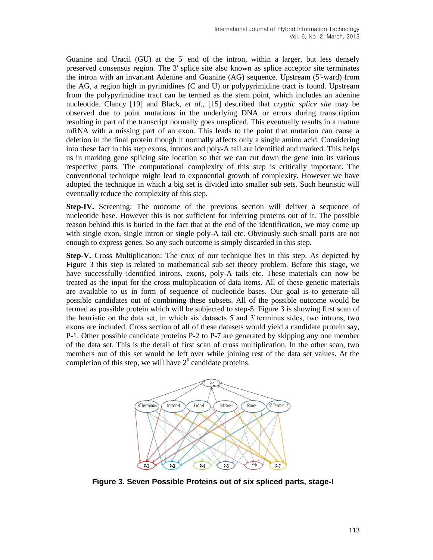Guanine and Uracil (GU) at the 5' end of the intron, within a larger, but less densely preserved consensus region. The 3' splice site also known as splice acceptor site terminates the intron with an invariant Adenine and Guanine (AG) sequence. Upstream (5'-ward) from the AG, a region high in pyrimidines (C and U) or polypyrimidine tract is found. Upstream from the polypyrimidine tract can be termed as the stem point, which includes an adenine nucleotide. Clancy [19] and Black, *et al.*, [15] described that *cryptic splice site* may be observed due to point mutations in the underlying DNA or errors during transcription resulting in part of the transcript normally goes unspliced. This eventually results in a mature mRNA with a missing part of an exon. This leads to the point that mutation can cause a deletion in the final protein though it normally affects only a single amino acid. Considering into these fact in this step exons, introns and poly-A tail are identified and marked. This helps us in marking gene splicing site location so that we can cut down the gene into its various respective parts. The computational complexity of this step is critically important. The conventional technique might lead to exponential growth of complexity. However we have adopted the technique in which a big set is divided into smaller sub sets. Such heuristic will eventually reduce the complexity of this step.

**Step-IV.** Screening: The outcome of the previous section will deliver a sequence of nucleotide base. However this is not sufficient for inferring proteins out of it. The possible reason behind this is buried in the fact that at the end of the identification, we may come up with single exon, single intron or single poly-A tail etc. Obviously such small parts are not enough to express genes. So any such outcome is simply discarded in this step.

**Step-V.** Cross Multiplication: The crux of our technique lies in this step. As depicted by Figure 3 this step is related to mathematical sub set theory problem. Before this stage, we have successfully identified introns, exons, poly-A tails etc. These materials can now be treated as the input for the cross multiplication of data items. All of these genetic materials are available to us in form of sequence of nucleotide bases. Our goal is to generate all possible candidates out of combining these subsets. All of the possible outcome would be termed as possible protein which will be subjected to step-5. Figure 3 is showing first scan of the heuristic on the data set, in which six datasets  $5'$  and  $3'$  terminus sides, two introns, two exons are included. Cross section of all of these datasets would yield a candidate protein say, P-1. Other possible candidate proteins P-2 to P-7 are generated by skipping any one member of the data set. This is the detail of first scan of cross multiplication. In the other scan, two members out of this set would be left over while joining rest of the data set values. At the completion of this step, we will have  $2<sup>6</sup>$  candidate proteins.



**Figure 3. Seven Possible Proteins out of six spliced parts, stage-I**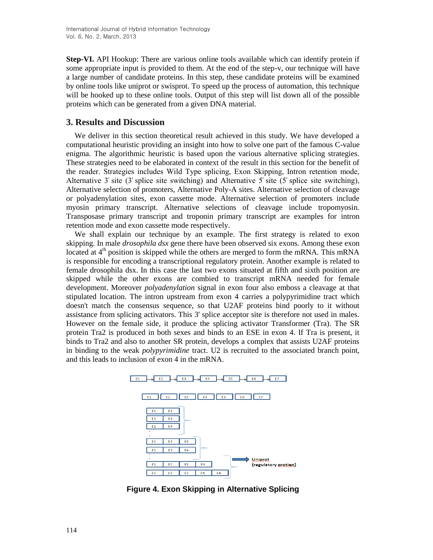**Step-VI.** API Hookup: There are various online tools available which can identify protein if some appropriate input is provided to them. At the end of the step-v, our technique will have a large number of candidate proteins. In this step, these candidate proteins will be examined by online tools like uniprot or swisprot. To speed up the process of automation, this technique will be hooked up to these online tools. Output of this step will list down all of the possible proteins which can be generated from a given DNA material.

### **3. Results and Discussion**

We deliver in this section theoretical result achieved in this study. We have developed a computational heuristic providing an insight into how to solve one part of the famous C-value enigma. The algorithmic heuristic is based upon the various alternative splicing strategies. These strategies need to be elaborated in context of the result in this section for the benefit of the reader. Strategies includes Wild Type splicing, Exon Skipping, Intron retention mode, Alternative 3' site  $(3')$  splice site switching) and Alternative 5' site  $(5')$  splice site switching). Alternative selection of promoters, Alternative Poly-A sites. Alternative selection of cleavage or polyadenylation sites, exon cassette mode. Alternative selection of promoters include myosin primary transcript. Alternative selections of cleavage include tropomyosin. Transposase primary transcript and troponin primary transcript are examples for intron retention mode and exon cassette mode respectively.

We shall explain our technique by an example. The first strategy is related to exon skipping. In male *drosophila dsx* gene there have been observed six exons. Among these exon located at  $4<sup>th</sup>$  position is skipped while the others are merged to form the mRNA. This mRNA is responsible for encoding a transcriptional regulatory protein. Another example is related to female drosophila dsx. In this case the last two exons situated at fifth and sixth position are skipped while the other exons are combied to transcript mRNA needed for female development. Moreover *polyadenylation* signal in exon four also emboss a cleavage at that stipulated location. The intron upstream from exon 4 carries a polypyrimidine tract which doesn't match the consensus sequence, so that U2AF proteins bind poorly to it without assistance from splicing activators. This 3' splice acceptor site is therefore not used in males. However on the female side, it produce the splicing activator Transformer (Tra). The SR protein Tra2 is produced in both sexes and binds to an ESE in exon 4. If Tra is present, it binds to Tra2 and also to another SR protein, develops a complex that assists U2AF proteins in binding to the weak *polypyrimidine* tract. U2 is recruited to the associated branch point, and this leads to inclusion of exon 4 in the mRNA.



**Figure 4. Exon Skipping in Alternative Splicing**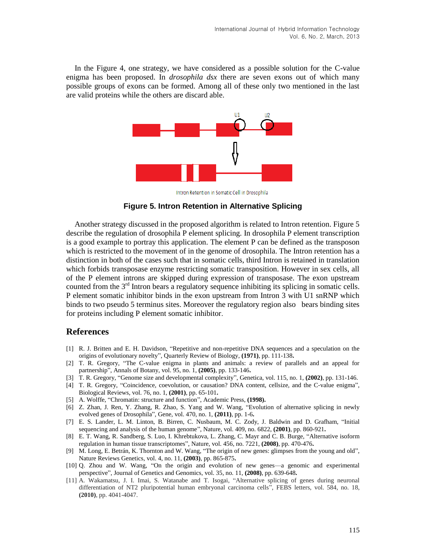In the Figure 4, one strategy, we have considered as a possible solution for the C-value enigma has been proposed. In *drosophila dsx* there are seven exons out of which many possible groups of exons can be formed. Among all of these only two mentioned in the last are valid proteins while the others are discard able.



Intron Retention in Somatic Cell in Drosophila

**Figure 5. Intron Retention in Alternative Splicing**

Another strategy discussed in the proposed algorithm is related to Intron retention. Figure 5 describe the regulation of drosophila P element splicing. In drosophila P element transcription is a good example to portray this application. The element P can be defined as the transposon which is restricted to the movement of in the genome of drosophila. The Intron retention has a distinction in both of the cases such that in somatic cells, third Intron is retained in translation which forbids transposase enzyme restricting somatic transposition. However in sex cells, all of the P element introns are skipped during expression of transposase. The exon upstream counted from the  $3<sup>rd</sup>$  Intron bears a regulatory sequence inhibiting its splicing in somatic cells. P element somatic inhibitor binds in the exon upstream from Intron 3 with U1 snRNP which binds to two pseudo 5 terminus sites. Moreover the regulatory region also bears binding sites for proteins including P element somatic inhibitor.

## **References**

- [1] R. J. Britten and E. H. Davidson, "Repetitive and non-repetitive DNA sequences and a speculation on the origins of evolutionary novelty", Quarterly Review of Biology, **(1971)**, pp. 111-138**.**
- [2] T. R. Gregory, "The C-value enigma in plants and animals: a review of parallels and an appeal for partnership", Annals of Botany, vol. 95, no. 1, **(2005)**, pp. 133-146**.**
- [3] T. R. Gregory, "Genome size and developmental complexity", Genetica, vol. 115, no. 1, **(2002)**, pp. 131-146.
- [4] T. R. Gregory, "Coincidence, coevolution, or causation? DNA content, cellsize, and the C-value enigma", Biological Reviews, vol. 76, no. 1, **(2001)**, pp. 65-101**.**
- [5] A. Wolffe, "Chromatin: structure and function", Academic Press, **(1998).**
- [6] Z. Zhan, J. Ren, Y. Zhang, R. Zhao, S. Yang and W. Wang, "Evolution of alternative splicing in newly evolved genes of Drosophila", Gene, vol. 470, no. 1, **(2011)**, pp. 1-6**.**
- [7] E. S. Lander, L. M. Linton, B. Birren, C. Nusbaum, M. C. Zody, J. Baldwin and D. Grafham, "Initial sequencing and analysis of the human genome", Nature, vol. 409, no. 6822, **(2001)**, pp. 860-921**.**
- [8] E. T. Wang, R. Sandberg, S. Luo, I. Khrebtukova, L. Zhang, C. Mayr and C. B. Burge, "Alternative isoform regulation in human tissue transcriptomes", Nature, vol. 456, no. 7221, **(2008)**, pp. 470-476**.**
- [9] M. Long, E. Betrán, K. Thornton and W. Wang, "The origin of new genes: glimpses from the young and old", Nature Reviews Genetics, vol. 4, no. 11, **(2003)**, pp. 865-875**.**
- [10] Q. Zhou and W. Wang, "On the origin and evolution of new genes—a genomic and experimental perspective", Journal of Genetics and Genomics, vol. 35, no. 11, **(2008)**, pp. 639-648**.**
- [11] A. Wakamatsu, J. I. Imai, S. Watanabe and T. Isogai, "Alternative splicing of genes during neuronal differentiation of NT2 pluripotential human embryonal carcinoma cells", FEBS letters, vol. 584, no. 18, **(2010)**, pp. 4041-4047.